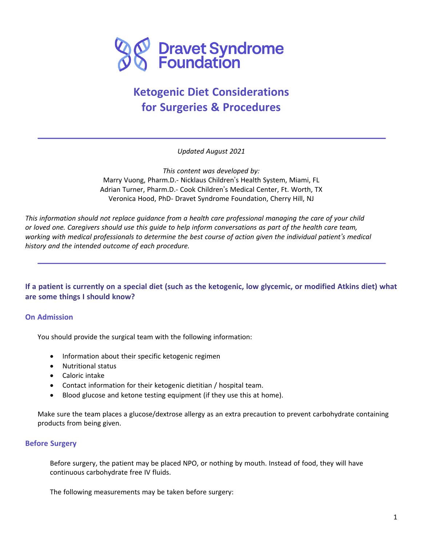

# **Ketogenic Diet Considerations for Surgeries & Procedures**

*Updated August 2021*

*This content was developed by:* Marry Vuong, Pharm.D.- Nicklaus Children's Health System, Miami, FL Adrian Turner, Pharm.D.- Cook Children's Medical Center, Ft. Worth, TX Veronica Hood, PhD- Dravet Syndrome Foundation, Cherry Hill, NJ

This information should not replace guidance from a health care professional managing the care of your child or loved one. Caregivers should use this guide to help inform conversations as part of the health care team, working with medical professionals to determine the best course of action given the individual patient's medical *history and the intended outcome of each procedure.*

If a patient is currently on a special diet (such as the ketogenic, low glycemic, or modified Atkins diet) what **are some things I should know?**

#### **On Admission**

You should provide the surgical team with the following information:

- Information about their specific ketogenic regimen
- Nutritional status
- Caloric intake

Ξ

- Contact information for their ketogenic dietitian / hospital team.
- Blood glucose and ketone testing equipment (if they use this at home).

Make sure the team places a glucose/dextrose allergy as an extra precaution to prevent carbohydrate containing products from being given.

#### **Before Surgery**

Before surgery, the patient may be placed NPO, or nothing by mouth. Instead of food, they will have continuous carbohydrate free IV fluids.

The following measurements may be taken before surgery: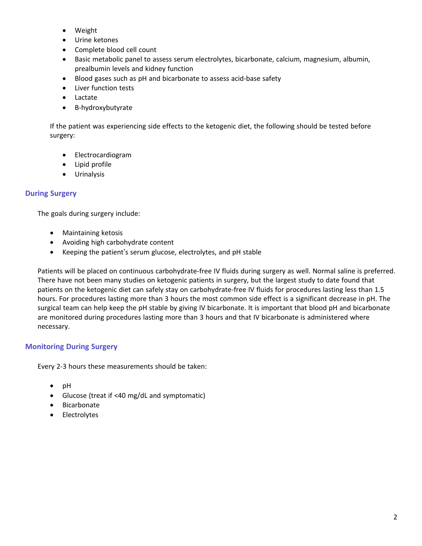- Weight
- Urine ketones
- Complete blood cell count
- Basic metabolic panel to assess serum electrolytes, bicarbonate, calcium, magnesium, albumin, prealbumin levels and kidney function
- Blood gases such as pH and bicarbonate to assess acid-base safety
- Liver function tests
- Lactate
- Β-hydroxybutyrate

If the patient was experiencing side effects to the ketogenic diet, the following should be tested before surgery:

- Electrocardiogram
- Lipid profile
- Urinalysis

# **During Surgery**

The goals during surgery include:

- Maintaining ketosis
- Avoiding high carbohydrate content
- Keeping the patient's serum glucose, electrolytes, and pH stable

Patients will be placed on continuous carbohydrate-free IV fluids during surgery as well. Normal saline is preferred. There have not been many studies on ketogenic patients in surgery, but the largest study to date found that patients on the ketogenic diet can safely stay on carbohydrate-free IV fluids for procedures lasting less than 1.5 hours. For procedures lasting more than 3 hours the most common side effect is a significant decrease in pH. The surgical team can help keep the pH stable by giving IV bicarbonate. It is important that blood pH and bicarbonate are monitored during procedures lasting more than 3 hours and that IV bicarbonate is administered where necessary.

# **Monitoring During Surgery**

Every 2-3 hours these measurements should be taken:

- pH
- Glucose (treat if <40 mg/dL and symptomatic)
- Bicarbonate
- Electrolytes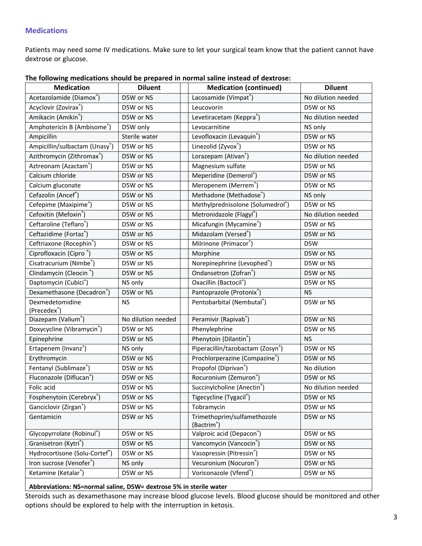## **Medications**

Patients may need some IV medications. Make sure to let your surgical team know that the patient cannot have dextrose or glucose.

| Acetazolamide (Diamox®)<br>Lacosamide (Vimpat®)<br>No dilution needed<br>D5W or NS<br>Acyclovir (Zovirax®)<br>D5W or NS<br>Leucovorin<br>D5W or NS<br>Amikacin (Amikin®)<br>Levetiracetam (Keppra®)<br>No dilution needed<br>D5W or NS<br>Amphotericin B (Ambisome <sup>®</sup> )<br>Levocarnitine<br>D5W only<br>NS only<br>Ampicillin<br>Sterile water<br>Levofloxacin (Levaquin <sup>®</sup> )<br>D5W or NS<br>Ampicillin/sulbactam (Unasy®)<br>Linezolid (Zyvox®)<br>D5W or NS<br>D5W or NS<br>Lorazepam (Ativan <sup>®</sup> )<br>Azithromycin (Zithromax <sup>®</sup> )<br>No dilution needed<br>D5W or NS<br>Aztreonam (Azactam®)<br>Magnesium sulfate<br>D5W or NS<br>D5W or NS<br>Calcium chloride<br>Meperidine (Demerol®)<br>D5W or NS<br>D5W or NS<br>Calcium gluconate<br>Meropenem (Merrem®)<br>D5W or NS<br>D5W or NS<br>Methadone (Methadose®)<br>Cefazolin (Ancef®)<br>D5W or NS<br>NS only<br>Cefepime (Maxipime <sup>®</sup> )<br>Methylprednisolone (Solumedrol®)<br>D5W or NS<br>D5W or NS<br>Cefoxitin (Mefoxin <sup>®</sup> )<br>Metronidazole (Flagyl®)<br>No dilution needed<br>D5W or NS<br>Ceftaroline (Teflaro®)<br>Micafungin (Mycamine®)<br>D5W or NS<br>D5W or NS<br>Ceftazidime (Fortaz®)<br>Midazolam (Versed®)<br>D5W or NS<br>D5W or NS<br>Ceftriaxone (Rocephin <sup>®</sup> )<br>Milrinone (Primacor®)<br>D5W or NS<br>D5W<br>Ciprofloxacin (Cipro <sup>®</sup> )<br>Morphine<br>D5W or NS<br>D5W or NS<br>Cisatracurium (Nimbe®)<br>Norepinephrine (Levophed®)<br>D5W or NS<br>D5W or NS<br>Clindamycin (Cleocin <sup>®</sup> )<br>D5W or NS<br>Ondansetron (Zofran®)<br>D5W or NS | <b>Medication</b>    | <b>Diluent</b> | <b>Medication (continued)</b> | <b>Diluent</b> |
|--------------------------------------------------------------------------------------------------------------------------------------------------------------------------------------------------------------------------------------------------------------------------------------------------------------------------------------------------------------------------------------------------------------------------------------------------------------------------------------------------------------------------------------------------------------------------------------------------------------------------------------------------------------------------------------------------------------------------------------------------------------------------------------------------------------------------------------------------------------------------------------------------------------------------------------------------------------------------------------------------------------------------------------------------------------------------------------------------------------------------------------------------------------------------------------------------------------------------------------------------------------------------------------------------------------------------------------------------------------------------------------------------------------------------------------------------------------------------------------------------------------------------------------------------------------------------------------------------------------------------|----------------------|----------------|-------------------------------|----------------|
|                                                                                                                                                                                                                                                                                                                                                                                                                                                                                                                                                                                                                                                                                                                                                                                                                                                                                                                                                                                                                                                                                                                                                                                                                                                                                                                                                                                                                                                                                                                                                                                                                          |                      |                |                               |                |
|                                                                                                                                                                                                                                                                                                                                                                                                                                                                                                                                                                                                                                                                                                                                                                                                                                                                                                                                                                                                                                                                                                                                                                                                                                                                                                                                                                                                                                                                                                                                                                                                                          |                      |                |                               |                |
|                                                                                                                                                                                                                                                                                                                                                                                                                                                                                                                                                                                                                                                                                                                                                                                                                                                                                                                                                                                                                                                                                                                                                                                                                                                                                                                                                                                                                                                                                                                                                                                                                          |                      |                |                               |                |
|                                                                                                                                                                                                                                                                                                                                                                                                                                                                                                                                                                                                                                                                                                                                                                                                                                                                                                                                                                                                                                                                                                                                                                                                                                                                                                                                                                                                                                                                                                                                                                                                                          |                      |                |                               |                |
|                                                                                                                                                                                                                                                                                                                                                                                                                                                                                                                                                                                                                                                                                                                                                                                                                                                                                                                                                                                                                                                                                                                                                                                                                                                                                                                                                                                                                                                                                                                                                                                                                          |                      |                |                               |                |
|                                                                                                                                                                                                                                                                                                                                                                                                                                                                                                                                                                                                                                                                                                                                                                                                                                                                                                                                                                                                                                                                                                                                                                                                                                                                                                                                                                                                                                                                                                                                                                                                                          |                      |                |                               |                |
|                                                                                                                                                                                                                                                                                                                                                                                                                                                                                                                                                                                                                                                                                                                                                                                                                                                                                                                                                                                                                                                                                                                                                                                                                                                                                                                                                                                                                                                                                                                                                                                                                          |                      |                |                               |                |
|                                                                                                                                                                                                                                                                                                                                                                                                                                                                                                                                                                                                                                                                                                                                                                                                                                                                                                                                                                                                                                                                                                                                                                                                                                                                                                                                                                                                                                                                                                                                                                                                                          |                      |                |                               |                |
|                                                                                                                                                                                                                                                                                                                                                                                                                                                                                                                                                                                                                                                                                                                                                                                                                                                                                                                                                                                                                                                                                                                                                                                                                                                                                                                                                                                                                                                                                                                                                                                                                          |                      |                |                               |                |
|                                                                                                                                                                                                                                                                                                                                                                                                                                                                                                                                                                                                                                                                                                                                                                                                                                                                                                                                                                                                                                                                                                                                                                                                                                                                                                                                                                                                                                                                                                                                                                                                                          |                      |                |                               |                |
|                                                                                                                                                                                                                                                                                                                                                                                                                                                                                                                                                                                                                                                                                                                                                                                                                                                                                                                                                                                                                                                                                                                                                                                                                                                                                                                                                                                                                                                                                                                                                                                                                          |                      |                |                               |                |
|                                                                                                                                                                                                                                                                                                                                                                                                                                                                                                                                                                                                                                                                                                                                                                                                                                                                                                                                                                                                                                                                                                                                                                                                                                                                                                                                                                                                                                                                                                                                                                                                                          |                      |                |                               |                |
|                                                                                                                                                                                                                                                                                                                                                                                                                                                                                                                                                                                                                                                                                                                                                                                                                                                                                                                                                                                                                                                                                                                                                                                                                                                                                                                                                                                                                                                                                                                                                                                                                          |                      |                |                               |                |
|                                                                                                                                                                                                                                                                                                                                                                                                                                                                                                                                                                                                                                                                                                                                                                                                                                                                                                                                                                                                                                                                                                                                                                                                                                                                                                                                                                                                                                                                                                                                                                                                                          |                      |                |                               |                |
|                                                                                                                                                                                                                                                                                                                                                                                                                                                                                                                                                                                                                                                                                                                                                                                                                                                                                                                                                                                                                                                                                                                                                                                                                                                                                                                                                                                                                                                                                                                                                                                                                          |                      |                |                               |                |
|                                                                                                                                                                                                                                                                                                                                                                                                                                                                                                                                                                                                                                                                                                                                                                                                                                                                                                                                                                                                                                                                                                                                                                                                                                                                                                                                                                                                                                                                                                                                                                                                                          |                      |                |                               |                |
|                                                                                                                                                                                                                                                                                                                                                                                                                                                                                                                                                                                                                                                                                                                                                                                                                                                                                                                                                                                                                                                                                                                                                                                                                                                                                                                                                                                                                                                                                                                                                                                                                          |                      |                |                               |                |
|                                                                                                                                                                                                                                                                                                                                                                                                                                                                                                                                                                                                                                                                                                                                                                                                                                                                                                                                                                                                                                                                                                                                                                                                                                                                                                                                                                                                                                                                                                                                                                                                                          |                      |                |                               |                |
|                                                                                                                                                                                                                                                                                                                                                                                                                                                                                                                                                                                                                                                                                                                                                                                                                                                                                                                                                                                                                                                                                                                                                                                                                                                                                                                                                                                                                                                                                                                                                                                                                          |                      |                |                               |                |
|                                                                                                                                                                                                                                                                                                                                                                                                                                                                                                                                                                                                                                                                                                                                                                                                                                                                                                                                                                                                                                                                                                                                                                                                                                                                                                                                                                                                                                                                                                                                                                                                                          | Daptomycin (Cubici®) | NS only        | Oxacillin (Bactocil®)         | D5W or NS      |
| Dexamethasone (Decadron®)<br>Pantoprazole (Protonix®)<br>D5W or NS<br><b>NS</b>                                                                                                                                                                                                                                                                                                                                                                                                                                                                                                                                                                                                                                                                                                                                                                                                                                                                                                                                                                                                                                                                                                                                                                                                                                                                                                                                                                                                                                                                                                                                          |                      |                |                               |                |
| Dexmedetomidine<br>Pentobarbital (Nembutal®)<br>D5W or NS<br><b>NS</b><br>(Precedex <sup>®</sup> )                                                                                                                                                                                                                                                                                                                                                                                                                                                                                                                                                                                                                                                                                                                                                                                                                                                                                                                                                                                                                                                                                                                                                                                                                                                                                                                                                                                                                                                                                                                       |                      |                |                               |                |
| Diazepam (Valium®)<br>No dilution needed<br>Peramivir (Rapivab®)<br>D5W or NS                                                                                                                                                                                                                                                                                                                                                                                                                                                                                                                                                                                                                                                                                                                                                                                                                                                                                                                                                                                                                                                                                                                                                                                                                                                                                                                                                                                                                                                                                                                                            |                      |                |                               |                |
| Doxycycline (Vibramycin <sup>®</sup> )<br>D5W or NS<br>Phenylephrine<br>D5W or NS                                                                                                                                                                                                                                                                                                                                                                                                                                                                                                                                                                                                                                                                                                                                                                                                                                                                                                                                                                                                                                                                                                                                                                                                                                                                                                                                                                                                                                                                                                                                        |                      |                |                               |                |
| Phenytoin (Dilantin®)<br>Epinephrine<br>D5W or NS<br><b>NS</b>                                                                                                                                                                                                                                                                                                                                                                                                                                                                                                                                                                                                                                                                                                                                                                                                                                                                                                                                                                                                                                                                                                                                                                                                                                                                                                                                                                                                                                                                                                                                                           |                      |                |                               |                |
| Ertapenem (Invanz®)<br>Piperacillin/tazobactam (Zosyn®)<br>D5W or NS<br>NS only                                                                                                                                                                                                                                                                                                                                                                                                                                                                                                                                                                                                                                                                                                                                                                                                                                                                                                                                                                                                                                                                                                                                                                                                                                                                                                                                                                                                                                                                                                                                          |                      |                |                               |                |
| Prochlorperazine (Compazine <sup>®</sup> )<br>Erythromycin<br>D5W or NS<br>D5W or NS                                                                                                                                                                                                                                                                                                                                                                                                                                                                                                                                                                                                                                                                                                                                                                                                                                                                                                                                                                                                                                                                                                                                                                                                                                                                                                                                                                                                                                                                                                                                     |                      |                |                               |                |
| Fentanyl (Sublimaze®)<br>Propofol (Diprivan <sup>®</sup> )<br>D5W or NS<br>No dilution                                                                                                                                                                                                                                                                                                                                                                                                                                                                                                                                                                                                                                                                                                                                                                                                                                                                                                                                                                                                                                                                                                                                                                                                                                                                                                                                                                                                                                                                                                                                   |                      |                |                               |                |
| Fluconazole (Diflucan®)<br>Rocuronium (Zemuron®)<br>D5W or NS<br>D5W or NS                                                                                                                                                                                                                                                                                                                                                                                                                                                                                                                                                                                                                                                                                                                                                                                                                                                                                                                                                                                                                                                                                                                                                                                                                                                                                                                                                                                                                                                                                                                                               |                      |                |                               |                |
| Succinylcholine (Anectin <sup>®</sup> )<br>Folic acid<br>D5W or NS<br>No dilution needed                                                                                                                                                                                                                                                                                                                                                                                                                                                                                                                                                                                                                                                                                                                                                                                                                                                                                                                                                                                                                                                                                                                                                                                                                                                                                                                                                                                                                                                                                                                                 |                      |                |                               |                |
| Fosphenytoin (Cerebryx®)<br>D5W or NS<br>Tigecycline (Tygacil®)<br>D5W or NS                                                                                                                                                                                                                                                                                                                                                                                                                                                                                                                                                                                                                                                                                                                                                                                                                                                                                                                                                                                                                                                                                                                                                                                                                                                                                                                                                                                                                                                                                                                                             |                      |                |                               |                |
| Ganciclovir (Zirgan®)<br>Tobramycin<br>D5W or NS<br>D5W or NS                                                                                                                                                                                                                                                                                                                                                                                                                                                                                                                                                                                                                                                                                                                                                                                                                                                                                                                                                                                                                                                                                                                                                                                                                                                                                                                                                                                                                                                                                                                                                            |                      |                |                               |                |
| Trimethoprim/sulfamethozole<br>D5W or NS<br>D5W or NS<br>Gentamicin<br>(Bactrim®)                                                                                                                                                                                                                                                                                                                                                                                                                                                                                                                                                                                                                                                                                                                                                                                                                                                                                                                                                                                                                                                                                                                                                                                                                                                                                                                                                                                                                                                                                                                                        |                      |                |                               |                |
| Glycopyrrolate (Robinul®)<br>D5W or NS<br>Valproic acid (Depacon®)<br>D5W or NS                                                                                                                                                                                                                                                                                                                                                                                                                                                                                                                                                                                                                                                                                                                                                                                                                                                                                                                                                                                                                                                                                                                                                                                                                                                                                                                                                                                                                                                                                                                                          |                      |                |                               |                |
| Granisetron (Kytri®)<br>Vancomycin (Vancocin <sup>®</sup> )<br>D5W or NS<br>D5W or NS                                                                                                                                                                                                                                                                                                                                                                                                                                                                                                                                                                                                                                                                                                                                                                                                                                                                                                                                                                                                                                                                                                                                                                                                                                                                                                                                                                                                                                                                                                                                    |                      |                |                               |                |
| Hydrocortisone (Solu-Cortef®)<br>Vasopressin (Pitressin <sup>®</sup> )<br>D5W or NS<br>D5W or NS                                                                                                                                                                                                                                                                                                                                                                                                                                                                                                                                                                                                                                                                                                                                                                                                                                                                                                                                                                                                                                                                                                                                                                                                                                                                                                                                                                                                                                                                                                                         |                      |                |                               |                |
| Iron sucrose (Venofer <sup>®</sup> )<br>Vecuronium (Nocuron®)<br>D5W or NS<br>NS only                                                                                                                                                                                                                                                                                                                                                                                                                                                                                                                                                                                                                                                                                                                                                                                                                                                                                                                                                                                                                                                                                                                                                                                                                                                                                                                                                                                                                                                                                                                                    |                      |                |                               |                |
| Ketamine (Ketalar®)<br>Voriconazole (Vfend®)<br>D5W or NS<br>D5W or NS                                                                                                                                                                                                                                                                                                                                                                                                                                                                                                                                                                                                                                                                                                                                                                                                                                                                                                                                                                                                                                                                                                                                                                                                                                                                                                                                                                                                                                                                                                                                                   |                      |                |                               |                |

#### **The following medications should be prepared in normal saline instead of dextrose:**

#### **Abbreviations: NS=normal saline, D5W= dextrose 5% in sterile water**

Steroids such as dexamethasone may increase blood glucose levels. Blood glucose should be monitored and other options should be explored to help with the interruption in ketosis.